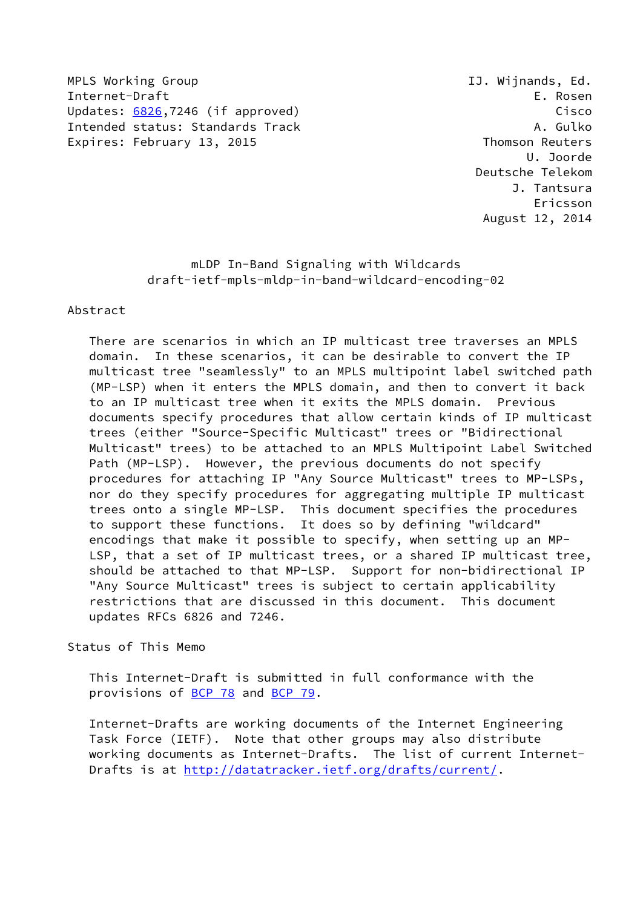MPLS Working Group **IJ. Wijnands, Ed.** Internet-Draft E. Rosen Updates: [6826](https://datatracker.ietf.org/doc/pdf/rfc6826),7246 (if approved) Cisco Intended status: Standards Track A. Gulko Expires: February 13, 2015 **Thomson Reuters** 

 U. Joorde Deutsche Telekom J. Tantsura Ericsson August 12, 2014

> mLDP In-Band Signaling with Wildcards draft-ietf-mpls-mldp-in-band-wildcard-encoding-02

## Abstract

 There are scenarios in which an IP multicast tree traverses an MPLS domain. In these scenarios, it can be desirable to convert the IP multicast tree "seamlessly" to an MPLS multipoint label switched path (MP-LSP) when it enters the MPLS domain, and then to convert it back to an IP multicast tree when it exits the MPLS domain. Previous documents specify procedures that allow certain kinds of IP multicast trees (either "Source-Specific Multicast" trees or "Bidirectional Multicast" trees) to be attached to an MPLS Multipoint Label Switched Path (MP-LSP). However, the previous documents do not specify procedures for attaching IP "Any Source Multicast" trees to MP-LSPs, nor do they specify procedures for aggregating multiple IP multicast trees onto a single MP-LSP. This document specifies the procedures to support these functions. It does so by defining "wildcard" encodings that make it possible to specify, when setting up an MP- LSP, that a set of IP multicast trees, or a shared IP multicast tree, should be attached to that MP-LSP. Support for non-bidirectional IP "Any Source Multicast" trees is subject to certain applicability restrictions that are discussed in this document. This document updates RFCs 6826 and 7246.

# Status of This Memo

 This Internet-Draft is submitted in full conformance with the provisions of [BCP 78](https://datatracker.ietf.org/doc/pdf/bcp78) and [BCP 79](https://datatracker.ietf.org/doc/pdf/bcp79).

 Internet-Drafts are working documents of the Internet Engineering Task Force (IETF). Note that other groups may also distribute working documents as Internet-Drafts. The list of current Internet- Drafts is at<http://datatracker.ietf.org/drafts/current/>.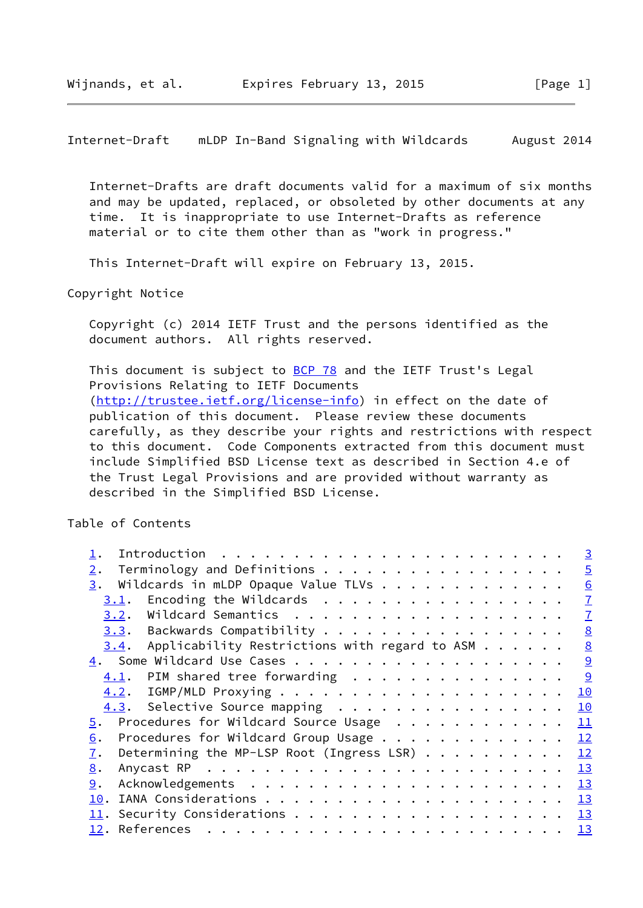Internet-Draft mLDP In-Band Signaling with Wildcards August 2014

 Internet-Drafts are draft documents valid for a maximum of six months and may be updated, replaced, or obsoleted by other documents at any time. It is inappropriate to use Internet-Drafts as reference material or to cite them other than as "work in progress."

This Internet-Draft will expire on February 13, 2015.

Copyright Notice

 Copyright (c) 2014 IETF Trust and the persons identified as the document authors. All rights reserved.

This document is subject to [BCP 78](https://datatracker.ietf.org/doc/pdf/bcp78) and the IETF Trust's Legal Provisions Relating to IETF Documents [\(http://trustee.ietf.org/license-info](http://trustee.ietf.org/license-info)) in effect on the date of publication of this document. Please review these documents carefully, as they describe your rights and restrictions with respect to this document. Code Components extracted from this document must include Simplified BSD License text as described in Section 4.e of the Trust Legal Provisions and are provided without warranty as described in the Simplified BSD License.

Table of Contents

| Introduction $\cdots$ , $\cdots$ , $\cdots$ , $\cdots$ , $\cdots$ , $\cdots$ , $\cdots$ , $\cdots$ , $\cdots$ , $\cdots$ , $\cdots$ , $\cdots$ , $\cdots$ , $\cdots$ , $\cdots$ , $\cdots$ , $\cdots$ , $\cdots$ , $\cdots$ , $\cdots$ , $\cdots$ , $\cdots$ , $\cdots$ , $\cdots$ , $\cdots$ , $\cdots$ , $\cdots$ , $\cdots$ , $\cdots$ , $\cdots$ | $\overline{3}$  |
|------------------------------------------------------------------------------------------------------------------------------------------------------------------------------------------------------------------------------------------------------------------------------------------------------------------------------------------------------|-----------------|
| Terminology and Definitions<br>2.                                                                                                                                                                                                                                                                                                                    | $\overline{5}$  |
| Wildcards in mLDP Opaque Value TLVs<br>3.                                                                                                                                                                                                                                                                                                            | 6               |
| Encoding the Wildcards<br>3.1.                                                                                                                                                                                                                                                                                                                       | $\mathbf{I}$    |
| 3.2.                                                                                                                                                                                                                                                                                                                                                 | $\mathbf{I}$    |
| 3.3. Backwards Compatibility                                                                                                                                                                                                                                                                                                                         | $\underline{8}$ |
| Applicability Restrictions with regard to ASM $\ldots$<br>3.4.                                                                                                                                                                                                                                                                                       | 8               |
|                                                                                                                                                                                                                                                                                                                                                      | 9               |
| PIM shared tree forwarding<br>4.1.                                                                                                                                                                                                                                                                                                                   | 9               |
|                                                                                                                                                                                                                                                                                                                                                      | 10              |
| 4.3. Selective Source mapping                                                                                                                                                                                                                                                                                                                        | 10              |
| Procedures for Wildcard Source Usage<br>5.                                                                                                                                                                                                                                                                                                           | 11              |
| Procedures for Wildcard Group Usage<br>6.                                                                                                                                                                                                                                                                                                            | 12              |
| Determining the MP-LSP Root (Ingress LSR) $\cdots$<br>7.                                                                                                                                                                                                                                                                                             | 12              |
| 8.                                                                                                                                                                                                                                                                                                                                                   | 13              |
| 9.                                                                                                                                                                                                                                                                                                                                                   | 13              |
| 10.                                                                                                                                                                                                                                                                                                                                                  |                 |
|                                                                                                                                                                                                                                                                                                                                                      |                 |
| 12. References                                                                                                                                                                                                                                                                                                                                       |                 |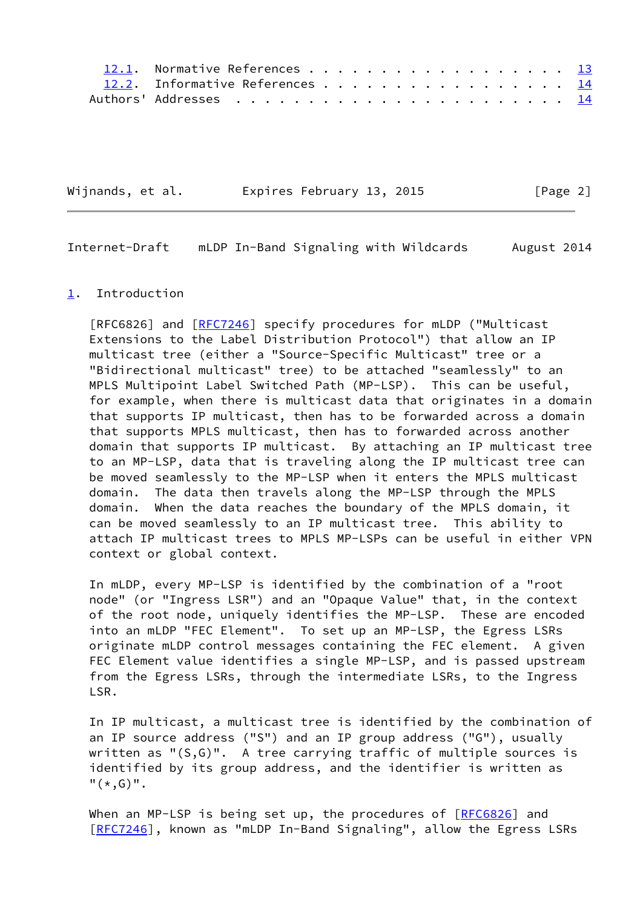| 12.1. Normative References 13   |  |  |  |  |  |  |  |  |  |
|---------------------------------|--|--|--|--|--|--|--|--|--|
| 12.2. Informative References 14 |  |  |  |  |  |  |  |  |  |
|                                 |  |  |  |  |  |  |  |  |  |

| Wijnands, et al. | Expires February 13, 2015 | [Page 2] |
|------------------|---------------------------|----------|
|------------------|---------------------------|----------|

<span id="page-2-1"></span>Internet-Draft mLDP In-Band Signaling with Wildcards August 2014

#### <span id="page-2-0"></span>[1](#page-2-0). Introduction

[RFC6826] and [[RFC7246](https://datatracker.ietf.org/doc/pdf/rfc7246)] specify procedures for mLDP ("Multicast Extensions to the Label Distribution Protocol") that allow an IP multicast tree (either a "Source-Specific Multicast" tree or a "Bidirectional multicast" tree) to be attached "seamlessly" to an MPLS Multipoint Label Switched Path (MP-LSP). This can be useful, for example, when there is multicast data that originates in a domain that supports IP multicast, then has to be forwarded across a domain that supports MPLS multicast, then has to forwarded across another domain that supports IP multicast. By attaching an IP multicast tree to an MP-LSP, data that is traveling along the IP multicast tree can be moved seamlessly to the MP-LSP when it enters the MPLS multicast domain. The data then travels along the MP-LSP through the MPLS domain. When the data reaches the boundary of the MPLS domain, it can be moved seamlessly to an IP multicast tree. This ability to attach IP multicast trees to MPLS MP-LSPs can be useful in either VPN context or global context.

 In mLDP, every MP-LSP is identified by the combination of a "root node" (or "Ingress LSR") and an "Opaque Value" that, in the context of the root node, uniquely identifies the MP-LSP. These are encoded into an mLDP "FEC Element". To set up an MP-LSP, the Egress LSRs originate mLDP control messages containing the FEC element. A given FEC Element value identifies a single MP-LSP, and is passed upstream from the Egress LSRs, through the intermediate LSRs, to the Ingress LSR.

 In IP multicast, a multicast tree is identified by the combination of an IP source address ("S") and an IP group address ("G"), usually written as "(S,G)". A tree carrying traffic of multiple sources is identified by its group address, and the identifier is written as  $"$  (  $*$  ,  $G)$  ".

When an MP-LSP is being set up, the procedures of [[RFC6826](https://datatracker.ietf.org/doc/pdf/rfc6826)] and [\[RFC7246](https://datatracker.ietf.org/doc/pdf/rfc7246)], known as "mLDP In-Band Signaling", allow the Egress LSRs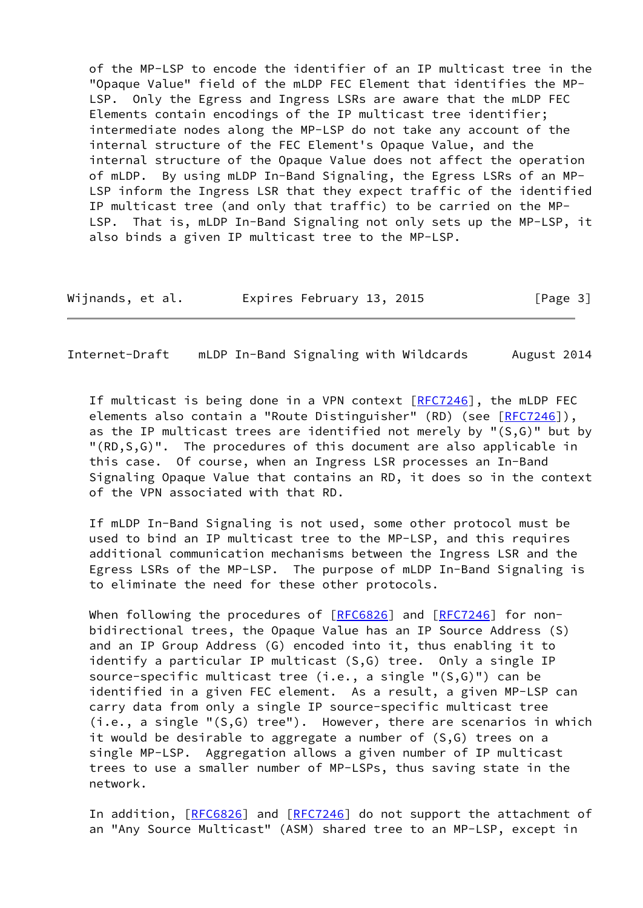of the MP-LSP to encode the identifier of an IP multicast tree in the "Opaque Value" field of the mLDP FEC Element that identifies the MP- LSP. Only the Egress and Ingress LSRs are aware that the mLDP FEC Elements contain encodings of the IP multicast tree identifier; intermediate nodes along the MP-LSP do not take any account of the internal structure of the FEC Element's Opaque Value, and the internal structure of the Opaque Value does not affect the operation of mLDP. By using mLDP In-Band Signaling, the Egress LSRs of an MP- LSP inform the Ingress LSR that they expect traffic of the identified IP multicast tree (and only that traffic) to be carried on the MP- LSP. That is, mLDP In-Band Signaling not only sets up the MP-LSP, it also binds a given IP multicast tree to the MP-LSP.

Wijnands, et al. Expires February 13, 2015 [Page 3]

Internet-Draft mLDP In-Band Signaling with Wildcards August 2014

If multicast is being done in a VPN context  $[REC7246]$ , the mLDP FEC elements also contain a "Route Distinguisher" (RD) (see [\[RFC7246](https://datatracker.ietf.org/doc/pdf/rfc7246)]), as the IP multicast trees are identified not merely by " $(S, G)$ " but by "(RD,S,G)". The procedures of this document are also applicable in this case. Of course, when an Ingress LSR processes an In-Band Signaling Opaque Value that contains an RD, it does so in the context of the VPN associated with that RD.

 If mLDP In-Band Signaling is not used, some other protocol must be used to bind an IP multicast tree to the MP-LSP, and this requires additional communication mechanisms between the Ingress LSR and the Egress LSRs of the MP-LSP. The purpose of mLDP In-Band Signaling is to eliminate the need for these other protocols.

When following the procedures of  $[REC6826]$  and  $[REC7246]$  for non bidirectional trees, the Opaque Value has an IP Source Address (S) and an IP Group Address (G) encoded into it, thus enabling it to identify a particular IP multicast (S,G) tree. Only a single IP source-specific multicast tree (i.e., a single "(S,G)") can be identified in a given FEC element. As a result, a given MP-LSP can carry data from only a single IP source-specific multicast tree (i.e., a single "(S,G) tree"). However, there are scenarios in which it would be desirable to aggregate a number of (S,G) trees on a single MP-LSP. Aggregation allows a given number of IP multicast trees to use a smaller number of MP-LSPs, thus saving state in the network.

In addition, [\[RFC6826](https://datatracker.ietf.org/doc/pdf/rfc6826)] and [[RFC7246\]](https://datatracker.ietf.org/doc/pdf/rfc7246) do not support the attachment of an "Any Source Multicast" (ASM) shared tree to an MP-LSP, except in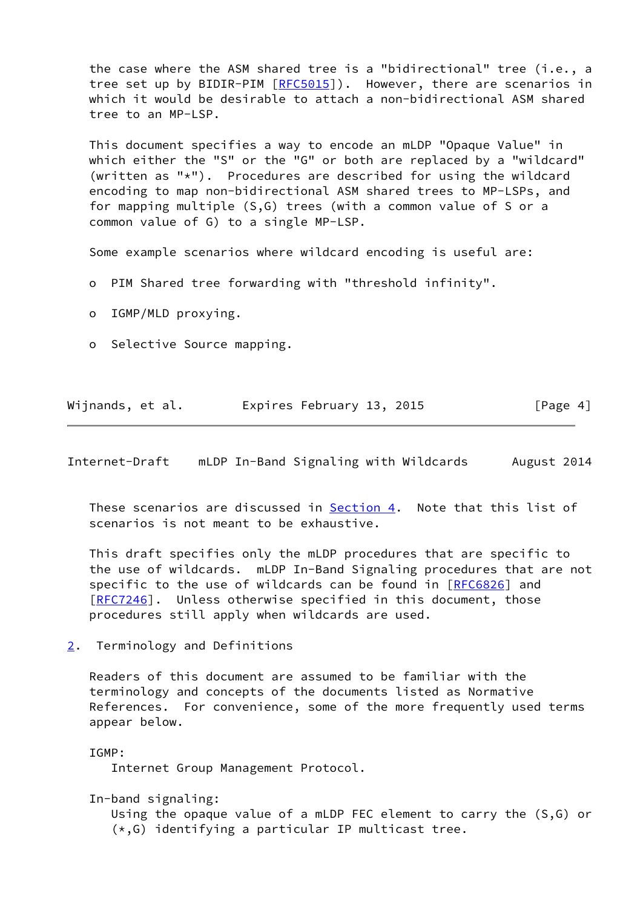the case where the ASM shared tree is a "bidirectional" tree (i.e., a tree set up by BIDIR-PIM [\[RFC5015](https://datatracker.ietf.org/doc/pdf/rfc5015)]). However, there are scenarios in which it would be desirable to attach a non-bidirectional ASM shared tree to an MP-LSP.

 This document specifies a way to encode an mLDP "Opaque Value" in which either the "S" or the "G" or both are replaced by a "wildcard" (written as "\*"). Procedures are described for using the wildcard encoding to map non-bidirectional ASM shared trees to MP-LSPs, and for mapping multiple (S,G) trees (with a common value of S or a common value of G) to a single MP-LSP.

Some example scenarios where wildcard encoding is useful are:

- o PIM Shared tree forwarding with "threshold infinity".
- o IGMP/MLD proxying.
- o Selective Source mapping.

|  | Wijnands, et al. |  |  | Expires February 13, 2015 |  | [Page 4] |  |
|--|------------------|--|--|---------------------------|--|----------|--|
|--|------------------|--|--|---------------------------|--|----------|--|

<span id="page-4-1"></span>Internet-Draft mLDP In-Band Signaling with Wildcards August 2014

 These scenarios are discussed in [Section 4](#page-9-0). Note that this list of scenarios is not meant to be exhaustive.

 This draft specifies only the mLDP procedures that are specific to the use of wildcards. mLDP In-Band Signaling procedures that are not specific to the use of wildcards can be found in [\[RFC6826](https://datatracker.ietf.org/doc/pdf/rfc6826)] and [\[RFC7246](https://datatracker.ietf.org/doc/pdf/rfc7246)]. Unless otherwise specified in this document, those procedures still apply when wildcards are used.

<span id="page-4-0"></span>[2](#page-4-0). Terminology and Definitions

 Readers of this document are assumed to be familiar with the terminology and concepts of the documents listed as Normative References. For convenience, some of the more frequently used terms appear below.

IGMP:

Internet Group Management Protocol.

In-band signaling:

 Using the opaque value of a mLDP FEC element to carry the (S,G) or (\*,G) identifying a particular IP multicast tree.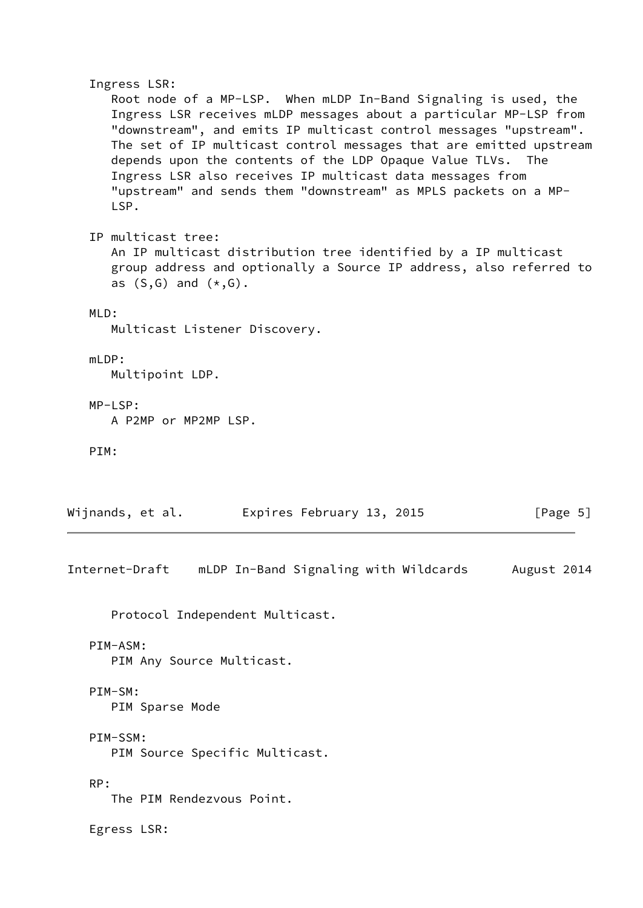Ingress LSR: Root node of a MP-LSP. When mLDP In-Band Signaling is used, the Ingress LSR receives mLDP messages about a particular MP-LSP from "downstream", and emits IP multicast control messages "upstream". The set of IP multicast control messages that are emitted upstream depends upon the contents of the LDP Opaque Value TLVs. The Ingress LSR also receives IP multicast data messages from "upstream" and sends them "downstream" as MPLS packets on a MP- LSP. IP multicast tree: An IP multicast distribution tree identified by a IP multicast group address and optionally a Source IP address, also referred to as  $(S,G)$  and  $(*,G)$ . MLD: Multicast Listener Discovery. mLDP: Multipoint LDP. MP-LSP: A P2MP or MP2MP LSP. PIM: Wijnands, et al. **Expires February 13, 2015** [Page 5] Internet-Draft mLDP In-Band Signaling with Wildcards August 2014 Protocol Independent Multicast. PIM-ASM: PIM Any Source Multicast. PIM-SM: PIM Sparse Mode PIM-SSM: PIM Source Specific Multicast.

The PIM Rendezvous Point.

Egress LSR:

<span id="page-5-0"></span>RP: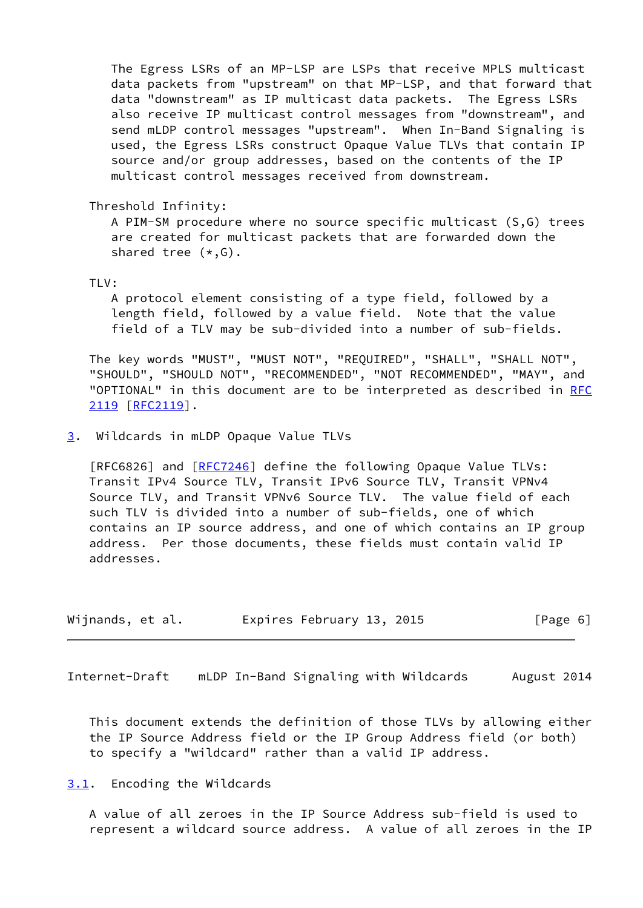The Egress LSRs of an MP-LSP are LSPs that receive MPLS multicast data packets from "upstream" on that MP-LSP, and that forward that data "downstream" as IP multicast data packets. The Egress LSRs also receive IP multicast control messages from "downstream", and send mLDP control messages "upstream". When In-Band Signaling is used, the Egress LSRs construct Opaque Value TLVs that contain IP source and/or group addresses, based on the contents of the IP multicast control messages received from downstream.

Threshold Infinity:

 A PIM-SM procedure where no source specific multicast (S,G) trees are created for multicast packets that are forwarded down the shared tree (\*,G).

TLV:

 A protocol element consisting of a type field, followed by a length field, followed by a value field. Note that the value field of a TLV may be sub-divided into a number of sub-fields.

 The key words "MUST", "MUST NOT", "REQUIRED", "SHALL", "SHALL NOT", "SHOULD", "SHOULD NOT", "RECOMMENDED", "NOT RECOMMENDED", "MAY", and "OPTIONAL" in this document are to be interpreted as described in [RFC](https://datatracker.ietf.org/doc/pdf/rfc2119) [2119](https://datatracker.ietf.org/doc/pdf/rfc2119) [\[RFC2119](https://datatracker.ietf.org/doc/pdf/rfc2119)].

<span id="page-6-0"></span>[3](#page-6-0). Wildcards in mLDP Opaque Value TLVs

[RFC6826] and [[RFC7246](https://datatracker.ietf.org/doc/pdf/rfc7246)] define the following Opaque Value TLVs: Transit IPv4 Source TLV, Transit IPv6 Source TLV, Transit VPNv4 Source TLV, and Transit VPNv6 Source TLV. The value field of each such TLV is divided into a number of sub-fields, one of which contains an IP source address, and one of which contains an IP group address. Per those documents, these fields must contain valid IP addresses.

| Wijnands, et al. | Expires February 13, 2015 | [Page 6] |
|------------------|---------------------------|----------|
|------------------|---------------------------|----------|

<span id="page-6-2"></span>Internet-Draft mLDP In-Band Signaling with Wildcards August 2014

 This document extends the definition of those TLVs by allowing either the IP Source Address field or the IP Group Address field (or both) to specify a "wildcard" rather than a valid IP address.

<span id="page-6-1"></span>[3.1](#page-6-1). Encoding the Wildcards

 A value of all zeroes in the IP Source Address sub-field is used to represent a wildcard source address. A value of all zeroes in the IP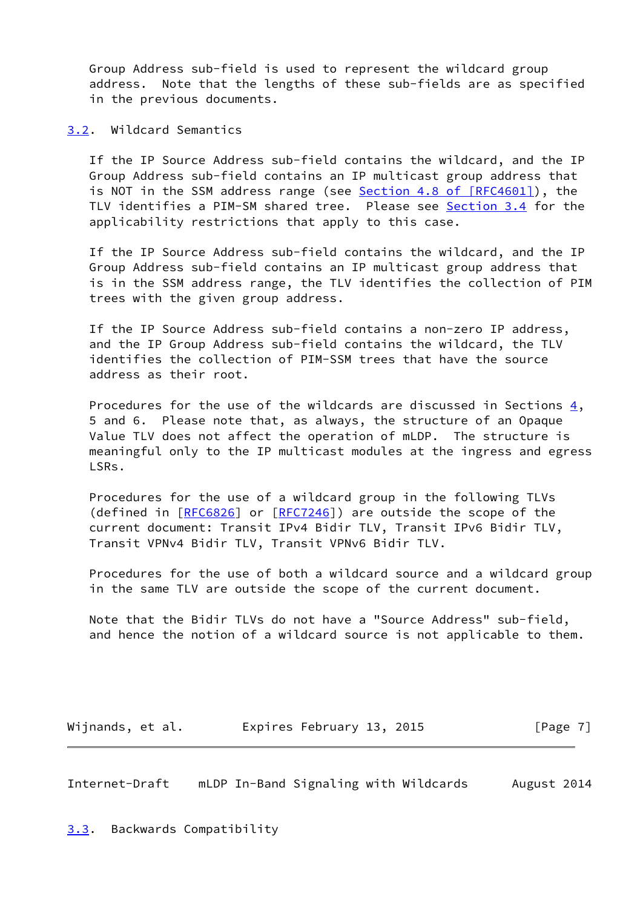Group Address sub-field is used to represent the wildcard group address. Note that the lengths of these sub-fields are as specified in the previous documents.

<span id="page-7-0"></span>[3.2](#page-7-0). Wildcard Semantics

 If the IP Source Address sub-field contains the wildcard, and the IP Group Address sub-field contains an IP multicast group address that is NOT in the SSM address range (see Section [4.8 of \[RFC4601\]](https://datatracker.ietf.org/doc/pdf/rfc4601#section-4.8)), the TLV identifies a PIM-SM shared tree. Please see [Section 3.4](#page-8-0) for the applicability restrictions that apply to this case.

 If the IP Source Address sub-field contains the wildcard, and the IP Group Address sub-field contains an IP multicast group address that is in the SSM address range, the TLV identifies the collection of PIM trees with the given group address.

 If the IP Source Address sub-field contains a non-zero IP address, and the IP Group Address sub-field contains the wildcard, the TLV identifies the collection of PIM-SSM trees that have the source address as their root.

Procedures for the use of the wildcards are discussed in Sections  $\frac{4}{1}$ , 5 and 6. Please note that, as always, the structure of an Opaque Value TLV does not affect the operation of mLDP. The structure is meaningful only to the IP multicast modules at the ingress and egress LSRs.

 Procedures for the use of a wildcard group in the following TLVs (defined in [\[RFC6826](https://datatracker.ietf.org/doc/pdf/rfc6826)] or [\[RFC7246](https://datatracker.ietf.org/doc/pdf/rfc7246)]) are outside the scope of the current document: Transit IPv4 Bidir TLV, Transit IPv6 Bidir TLV, Transit VPNv4 Bidir TLV, Transit VPNv6 Bidir TLV.

 Procedures for the use of both a wildcard source and a wildcard group in the same TLV are outside the scope of the current document.

 Note that the Bidir TLVs do not have a "Source Address" sub-field, and hence the notion of a wildcard source is not applicable to them.

Wijnands, et al. **Expires February 13, 2015** [Page 7]

<span id="page-7-2"></span><span id="page-7-1"></span>Internet-Draft mLDP In-Band Signaling with Wildcards August 2014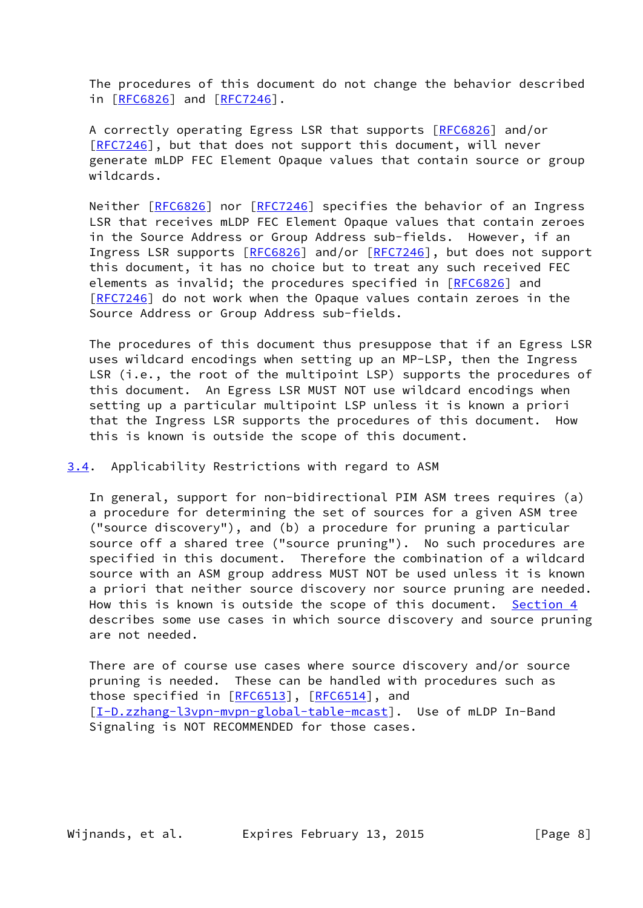The procedures of this document do not change the behavior described in [[RFC6826\]](https://datatracker.ietf.org/doc/pdf/rfc6826) and [\[RFC7246](https://datatracker.ietf.org/doc/pdf/rfc7246)].

 A correctly operating Egress LSR that supports [\[RFC6826](https://datatracker.ietf.org/doc/pdf/rfc6826)] and/or [\[RFC7246](https://datatracker.ietf.org/doc/pdf/rfc7246)], but that does not support this document, will never generate mLDP FEC Element Opaque values that contain source or group wildcards.

Neither [\[RFC6826](https://datatracker.ietf.org/doc/pdf/rfc6826)] nor [[RFC7246](https://datatracker.ietf.org/doc/pdf/rfc7246)] specifies the behavior of an Ingress LSR that receives mLDP FEC Element Opaque values that contain zeroes in the Source Address or Group Address sub-fields. However, if an Ingress LSR supports [\[RFC6826](https://datatracker.ietf.org/doc/pdf/rfc6826)] and/or [[RFC7246](https://datatracker.ietf.org/doc/pdf/rfc7246)], but does not support this document, it has no choice but to treat any such received FEC elements as invalid; the procedures specified in [\[RFC6826](https://datatracker.ietf.org/doc/pdf/rfc6826)] and [\[RFC7246](https://datatracker.ietf.org/doc/pdf/rfc7246)] do not work when the Opaque values contain zeroes in the Source Address or Group Address sub-fields.

 The procedures of this document thus presuppose that if an Egress LSR uses wildcard encodings when setting up an MP-LSP, then the Ingress LSR (i.e., the root of the multipoint LSP) supports the procedures of this document. An Egress LSR MUST NOT use wildcard encodings when setting up a particular multipoint LSP unless it is known a priori that the Ingress LSR supports the procedures of this document. How this is known is outside the scope of this document.

<span id="page-8-0"></span>[3.4](#page-8-0). Applicability Restrictions with regard to ASM

 In general, support for non-bidirectional PIM ASM trees requires (a) a procedure for determining the set of sources for a given ASM tree ("source discovery"), and (b) a procedure for pruning a particular source off a shared tree ("source pruning"). No such procedures are specified in this document. Therefore the combination of a wildcard source with an ASM group address MUST NOT be used unless it is known a priori that neither source discovery nor source pruning are needed. How this is known is outside the scope of this document. [Section 4](#page-9-0) describes some use cases in which source discovery and source pruning are not needed.

 There are of course use cases where source discovery and/or source pruning is needed. These can be handled with procedures such as those specified in [[RFC6513\]](https://datatracker.ietf.org/doc/pdf/rfc6513), [[RFC6514](https://datatracker.ietf.org/doc/pdf/rfc6514)], and [\[I-D.zzhang-l3vpn-mvpn-global-table-mcast](#page-15-0)]. Use of mLDP In-Band Signaling is NOT RECOMMENDED for those cases.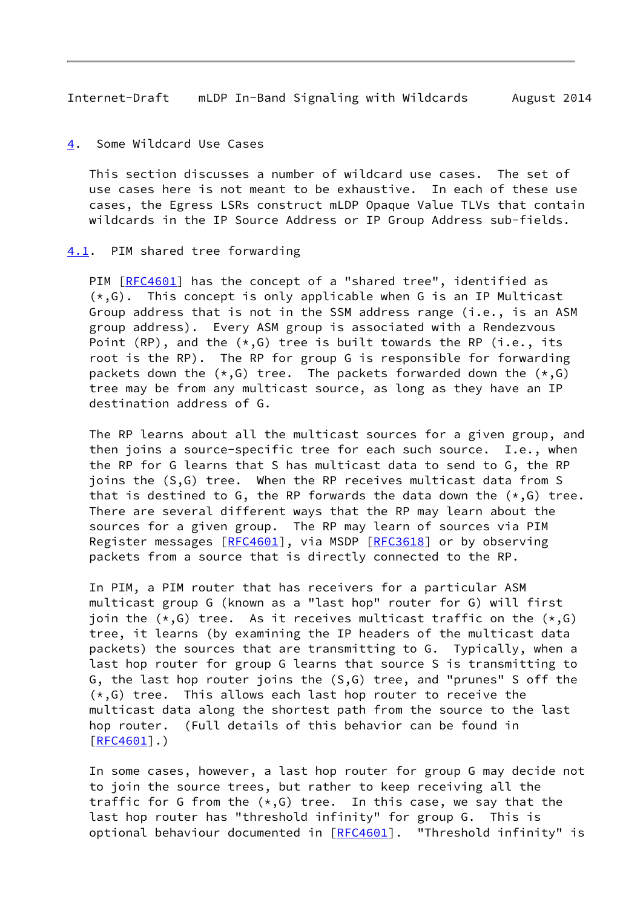<span id="page-9-1"></span>Internet-Draft mLDP In-Band Signaling with Wildcards August 2014

<span id="page-9-0"></span>[4](#page-9-0). Some Wildcard Use Cases

 This section discusses a number of wildcard use cases. The set of use cases here is not meant to be exhaustive. In each of these use cases, the Egress LSRs construct mLDP Opaque Value TLVs that contain wildcards in the IP Source Address or IP Group Address sub-fields.

### <span id="page-9-2"></span>[4.1](#page-9-2). PIM shared tree forwarding

PIM [\[RFC4601](https://datatracker.ietf.org/doc/pdf/rfc4601)] has the concept of a "shared tree", identified as  $(*, G)$ . This concept is only applicable when G is an IP Multicast Group address that is not in the SSM address range (i.e., is an ASM group address). Every ASM group is associated with a Rendezvous Point (RP), and the  $(*,G)$  tree is built towards the RP (i.e., its root is the RP). The RP for group G is responsible for forwarding packets down the  $(*,G)$  tree. The packets forwarded down the  $(*,G)$  tree may be from any multicast source, as long as they have an IP destination address of G.

 The RP learns about all the multicast sources for a given group, and then joins a source-specific tree for each such source. I.e., when the RP for G learns that S has multicast data to send to G, the RP joins the (S,G) tree. When the RP receives multicast data from S that is destined to G, the RP forwards the data down the  $(*, G)$  tree. There are several different ways that the RP may learn about the sources for a given group. The RP may learn of sources via PIM Register messages [[RFC4601](https://datatracker.ietf.org/doc/pdf/rfc4601)], via MSDP [[RFC3618](https://datatracker.ietf.org/doc/pdf/rfc3618)] or by observing packets from a source that is directly connected to the RP.

 In PIM, a PIM router that has receivers for a particular ASM multicast group G (known as a "last hop" router for G) will first join the  $(*, G)$  tree. As it receives multicast traffic on the  $(*, G)$  tree, it learns (by examining the IP headers of the multicast data packets) the sources that are transmitting to G. Typically, when a last hop router for group G learns that source S is transmitting to G, the last hop router joins the (S,G) tree, and "prunes" S off the  $(*, G)$  tree. This allows each last hop router to receive the multicast data along the shortest path from the source to the last hop router. (Full details of this behavior can be found in [\[RFC4601](https://datatracker.ietf.org/doc/pdf/rfc4601)].)

 In some cases, however, a last hop router for group G may decide not to join the source trees, but rather to keep receiving all the traffic for G from the  $(*,G)$  tree. In this case, we say that the last hop router has "threshold infinity" for group G. This is optional behaviour documented in [\[RFC4601](https://datatracker.ietf.org/doc/pdf/rfc4601)]. "Threshold infinity" is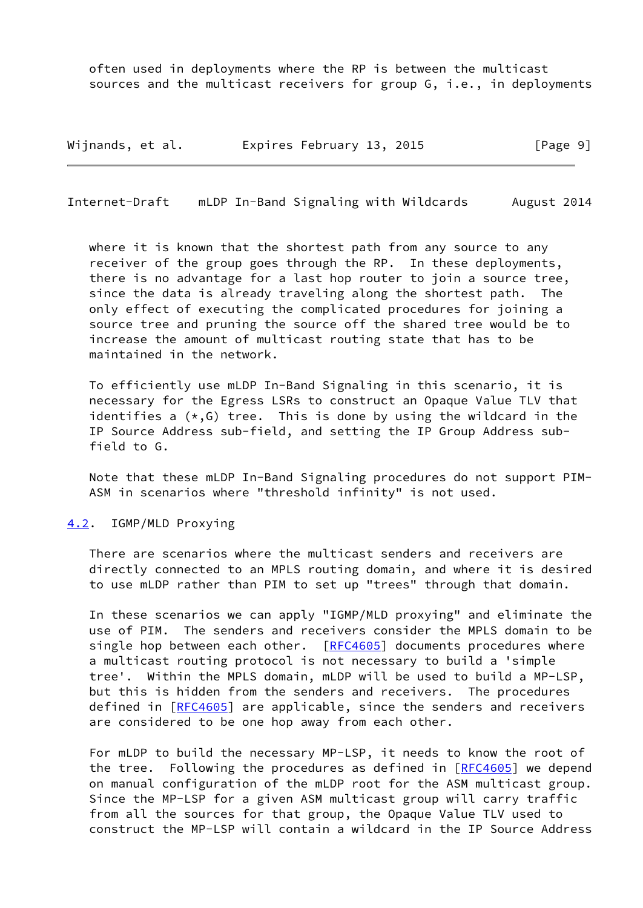often used in deployments where the RP is between the multicast sources and the multicast receivers for group G, i.e., in deployments

Wijnands, et al. 
Expires February 13, 2015

Fage 9]

<span id="page-10-1"></span>Internet-Draft mLDP In-Band Signaling with Wildcards August 2014

where it is known that the shortest path from any source to any receiver of the group goes through the RP. In these deployments, there is no advantage for a last hop router to join a source tree, since the data is already traveling along the shortest path. The only effect of executing the complicated procedures for joining a source tree and pruning the source off the shared tree would be to increase the amount of multicast routing state that has to be maintained in the network.

 To efficiently use mLDP In-Band Signaling in this scenario, it is necessary for the Egress LSRs to construct an Opaque Value TLV that identifies a  $(*, G)$  tree. This is done by using the wildcard in the IP Source Address sub-field, and setting the IP Group Address sub field to G.

 Note that these mLDP In-Band Signaling procedures do not support PIM- ASM in scenarios where "threshold infinity" is not used.

#### <span id="page-10-0"></span>[4.2](#page-10-0). IGMP/MLD Proxying

 There are scenarios where the multicast senders and receivers are directly connected to an MPLS routing domain, and where it is desired to use mLDP rather than PIM to set up "trees" through that domain.

 In these scenarios we can apply "IGMP/MLD proxying" and eliminate the use of PIM. The senders and receivers consider the MPLS domain to be single hop between each other. [\[RFC4605](https://datatracker.ietf.org/doc/pdf/rfc4605)] documents procedures where a multicast routing protocol is not necessary to build a 'simple tree'. Within the MPLS domain, mLDP will be used to build a MP-LSP, but this is hidden from the senders and receivers. The procedures defined in [[RFC4605\]](https://datatracker.ietf.org/doc/pdf/rfc4605) are applicable, since the senders and receivers are considered to be one hop away from each other.

 For mLDP to build the necessary MP-LSP, it needs to know the root of the tree. Following the procedures as defined in [[RFC4605](https://datatracker.ietf.org/doc/pdf/rfc4605)] we depend on manual configuration of the mLDP root for the ASM multicast group. Since the MP-LSP for a given ASM multicast group will carry traffic from all the sources for that group, the Opaque Value TLV used to construct the MP-LSP will contain a wildcard in the IP Source Address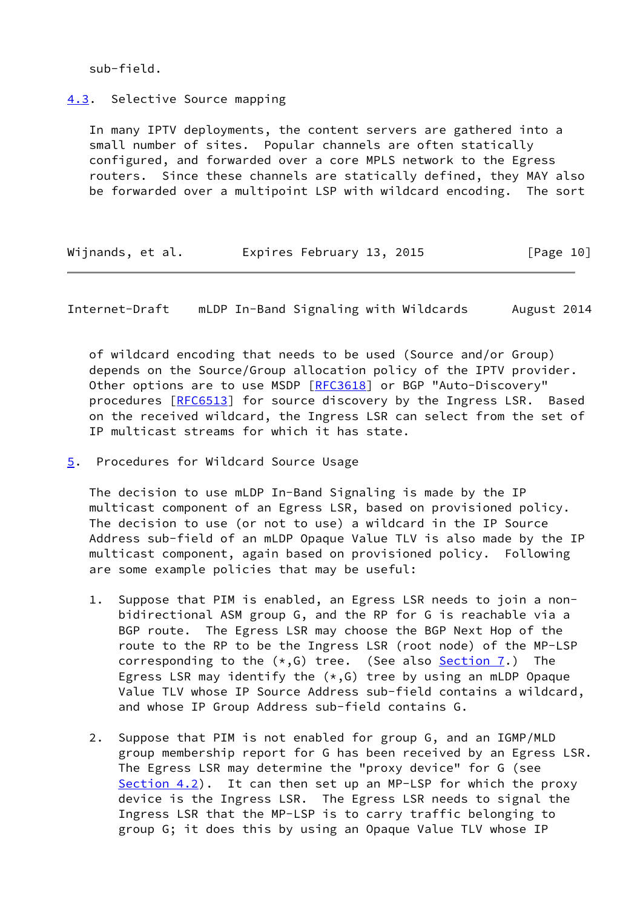sub-field.

<span id="page-11-0"></span>[4.3](#page-11-0). Selective Source mapping

 In many IPTV deployments, the content servers are gathered into a small number of sites. Popular channels are often statically configured, and forwarded over a core MPLS network to the Egress routers. Since these channels are statically defined, they MAY also be forwarded over a multipoint LSP with wildcard encoding. The sort

| Wijnands, et al. | Expires February 13, 2015 | [Page 10] |
|------------------|---------------------------|-----------|
|------------------|---------------------------|-----------|

<span id="page-11-2"></span>Internet-Draft mLDP In-Band Signaling with Wildcards August 2014

 of wildcard encoding that needs to be used (Source and/or Group) depends on the Source/Group allocation policy of the IPTV provider. Other options are to use MSDP [[RFC3618](https://datatracker.ietf.org/doc/pdf/rfc3618)] or BGP "Auto-Discovery" procedures [[RFC6513\]](https://datatracker.ietf.org/doc/pdf/rfc6513) for source discovery by the Ingress LSR. Based on the received wildcard, the Ingress LSR can select from the set of IP multicast streams for which it has state.

<span id="page-11-1"></span>[5](#page-11-1). Procedures for Wildcard Source Usage

 The decision to use mLDP In-Band Signaling is made by the IP multicast component of an Egress LSR, based on provisioned policy. The decision to use (or not to use) a wildcard in the IP Source Address sub-field of an mLDP Opaque Value TLV is also made by the IP multicast component, again based on provisioned policy. Following are some example policies that may be useful:

- 1. Suppose that PIM is enabled, an Egress LSR needs to join a non bidirectional ASM group G, and the RP for G is reachable via a BGP route. The Egress LSR may choose the BGP Next Hop of the route to the RP to be the Ingress LSR (root node) of the MP-LSP corresponding to the  $(*,G)$  tree. (See also [Section 7](#page-13-0).) The Egress LSR may identify the  $(*,G)$  tree by using an mLDP Opaque Value TLV whose IP Source Address sub-field contains a wildcard, and whose IP Group Address sub-field contains G.
- 2. Suppose that PIM is not enabled for group G, and an IGMP/MLD group membership report for G has been received by an Egress LSR. The Egress LSR may determine the "proxy device" for G (see Section  $4.2$ ). It can then set up an MP-LSP for which the proxy device is the Ingress LSR. The Egress LSR needs to signal the Ingress LSR that the MP-LSP is to carry traffic belonging to group G; it does this by using an Opaque Value TLV whose IP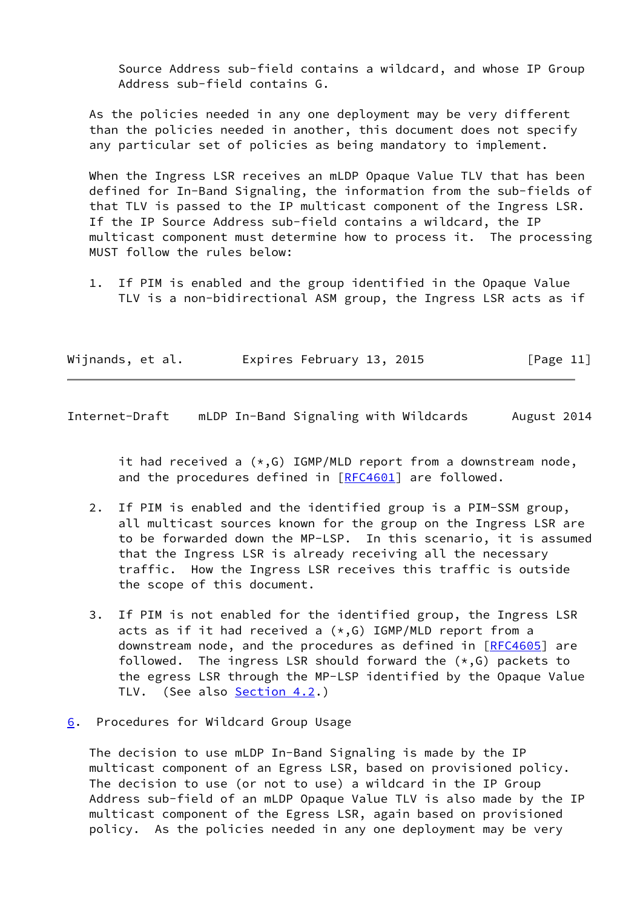Source Address sub-field contains a wildcard, and whose IP Group Address sub-field contains G.

 As the policies needed in any one deployment may be very different than the policies needed in another, this document does not specify any particular set of policies as being mandatory to implement.

 When the Ingress LSR receives an mLDP Opaque Value TLV that has been defined for In-Band Signaling, the information from the sub-fields of that TLV is passed to the IP multicast component of the Ingress LSR. If the IP Source Address sub-field contains a wildcard, the IP multicast component must determine how to process it. The processing MUST follow the rules below:

 1. If PIM is enabled and the group identified in the Opaque Value TLV is a non-bidirectional ASM group, the Ingress LSR acts as if

| Wijnands, et al. | Expires February 13, 2015 | [Page 11] |
|------------------|---------------------------|-----------|
|                  |                           |           |

<span id="page-12-1"></span>Internet-Draft mLDP In-Band Signaling with Wildcards August 2014

it had received a  $(*, G)$  IGMP/MLD report from a downstream node, and the procedures defined in [[RFC4601](https://datatracker.ietf.org/doc/pdf/rfc4601)] are followed.

- 2. If PIM is enabled and the identified group is a PIM-SSM group, all multicast sources known for the group on the Ingress LSR are to be forwarded down the MP-LSP. In this scenario, it is assumed that the Ingress LSR is already receiving all the necessary traffic. How the Ingress LSR receives this traffic is outside the scope of this document.
- 3. If PIM is not enabled for the identified group, the Ingress LSR acts as if it had received a  $(*,G)$  IGMP/MLD report from a downstream node, and the procedures as defined in [[RFC4605](https://datatracker.ietf.org/doc/pdf/rfc4605)] are followed. The ingress LSR should forward the  $(*,G)$  packets to the egress LSR through the MP-LSP identified by the Opaque Value TLV. (See also [Section 4.2.](#page-10-0))
- <span id="page-12-0"></span>[6](#page-12-0). Procedures for Wildcard Group Usage

 The decision to use mLDP In-Band Signaling is made by the IP multicast component of an Egress LSR, based on provisioned policy. The decision to use (or not to use) a wildcard in the IP Group Address sub-field of an mLDP Opaque Value TLV is also made by the IP multicast component of the Egress LSR, again based on provisioned policy. As the policies needed in any one deployment may be very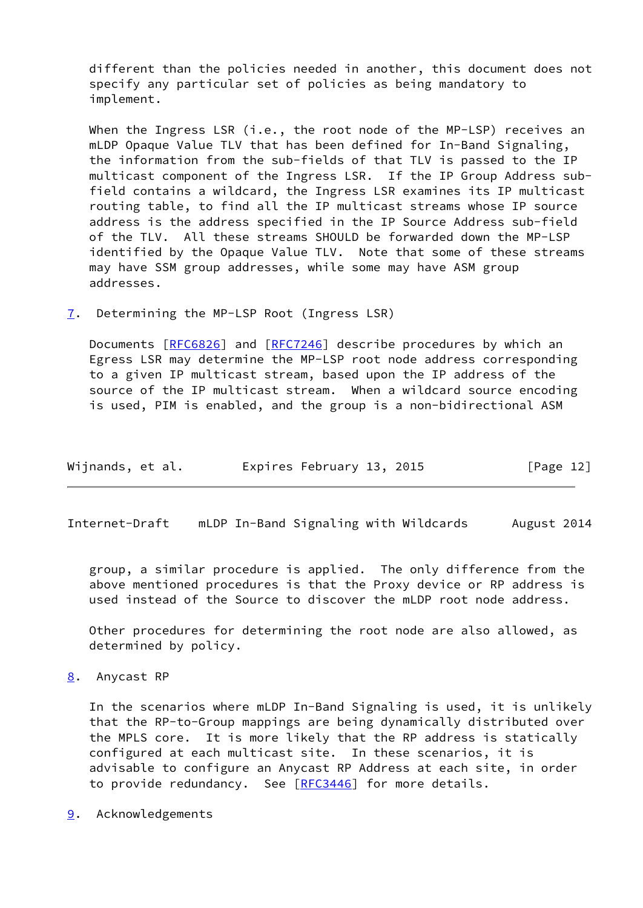different than the policies needed in another, this document does not specify any particular set of policies as being mandatory to implement.

When the Ingress LSR (i.e., the root node of the MP-LSP) receives an mLDP Opaque Value TLV that has been defined for In-Band Signaling, the information from the sub-fields of that TLV is passed to the IP multicast component of the Ingress LSR. If the IP Group Address sub field contains a wildcard, the Ingress LSR examines its IP multicast routing table, to find all the IP multicast streams whose IP source address is the address specified in the IP Source Address sub-field of the TLV. All these streams SHOULD be forwarded down the MP-LSP identified by the Opaque Value TLV. Note that some of these streams may have SSM group addresses, while some may have ASM group addresses.

<span id="page-13-0"></span>[7](#page-13-0). Determining the MP-LSP Root (Ingress LSR)

 Documents [[RFC6826](https://datatracker.ietf.org/doc/pdf/rfc6826)] and [\[RFC7246](https://datatracker.ietf.org/doc/pdf/rfc7246)] describe procedures by which an Egress LSR may determine the MP-LSP root node address corresponding to a given IP multicast stream, based upon the IP address of the source of the IP multicast stream. When a wildcard source encoding is used, PIM is enabled, and the group is a non-bidirectional ASM

| Wijnands, et al. | Expires February 13, 2015 | [Page 12] |
|------------------|---------------------------|-----------|
|------------------|---------------------------|-----------|

<span id="page-13-2"></span>Internet-Draft mLDP In-Band Signaling with Wildcards August 2014

 group, a similar procedure is applied. The only difference from the above mentioned procedures is that the Proxy device or RP address is used instead of the Source to discover the mLDP root node address.

 Other procedures for determining the root node are also allowed, as determined by policy.

<span id="page-13-1"></span>[8](#page-13-1). Anycast RP

 In the scenarios where mLDP In-Band Signaling is used, it is unlikely that the RP-to-Group mappings are being dynamically distributed over the MPLS core. It is more likely that the RP address is statically configured at each multicast site. In these scenarios, it is advisable to configure an Anycast RP Address at each site, in order to provide redundancy. See [\[RFC3446](https://datatracker.ietf.org/doc/pdf/rfc3446)] for more details.

<span id="page-13-3"></span>[9](#page-13-3). Acknowledgements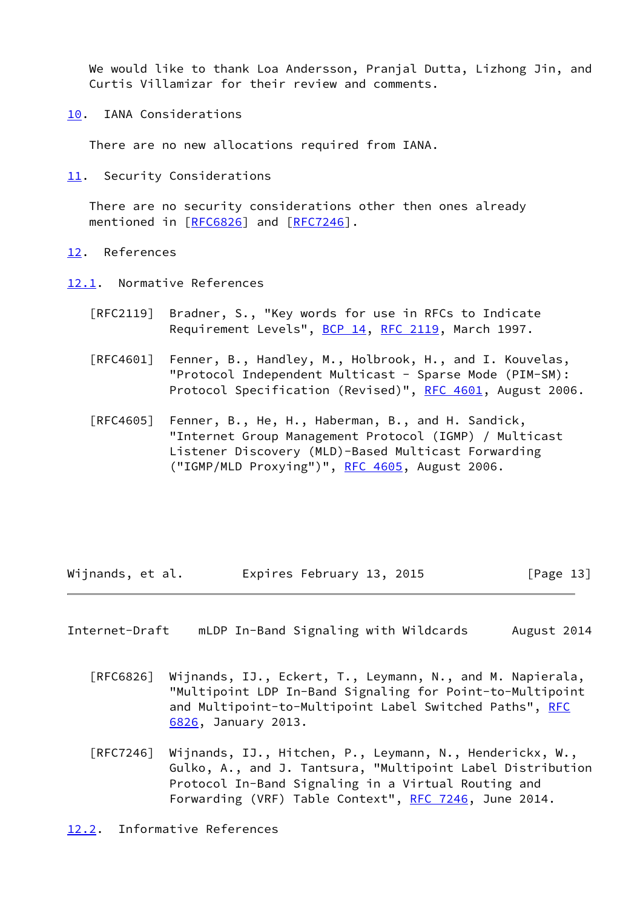We would like to thank Loa Andersson, Pranjal Dutta, Lizhong Jin, and Curtis Villamizar for their review and comments.

<span id="page-14-0"></span>[10.](#page-14-0) IANA Considerations

There are no new allocations required from IANA.

<span id="page-14-1"></span>[11.](#page-14-1) Security Considerations

 There are no security considerations other then ones already mentioned in [\[RFC6826](https://datatracker.ietf.org/doc/pdf/rfc6826)] and [[RFC7246\]](https://datatracker.ietf.org/doc/pdf/rfc7246).

- <span id="page-14-2"></span>[12.](#page-14-2) References
- <span id="page-14-3"></span>[12.1](#page-14-3). Normative References
	- [RFC2119] Bradner, S., "Key words for use in RFCs to Indicate Requirement Levels", [BCP 14](https://datatracker.ietf.org/doc/pdf/bcp14), [RFC 2119](https://datatracker.ietf.org/doc/pdf/rfc2119), March 1997.
	- [RFC4601] Fenner, B., Handley, M., Holbrook, H., and I. Kouvelas, "Protocol Independent Multicast - Sparse Mode (PIM-SM): Protocol Specification (Revised)", [RFC 4601](https://datatracker.ietf.org/doc/pdf/rfc4601), August 2006.
	- [RFC4605] Fenner, B., He, H., Haberman, B., and H. Sandick, "Internet Group Management Protocol (IGMP) / Multicast Listener Discovery (MLD)-Based Multicast Forwarding ("IGMP/MLD Proxying")", [RFC 4605,](https://datatracker.ietf.org/doc/pdf/rfc4605) August 2006.

Wijnands, et al. Expires February 13, 2015 [Page 13]

- <span id="page-14-5"></span>Internet-Draft mLDP In-Band Signaling with Wildcards August 2014
	- [RFC6826] Wijnands, IJ., Eckert, T., Leymann, N., and M. Napierala, "Multipoint LDP In-Band Signaling for Point-to-Multipoint and Multipoint-to-Multipoint Label Switched Paths", [RFC](https://datatracker.ietf.org/doc/pdf/rfc6826) [6826,](https://datatracker.ietf.org/doc/pdf/rfc6826) January 2013.
	- [RFC7246] Wijnands, IJ., Hitchen, P., Leymann, N., Henderickx, W., Gulko, A., and J. Tantsura, "Multipoint Label Distribution Protocol In-Band Signaling in a Virtual Routing and Forwarding (VRF) Table Context", [RFC 7246,](https://datatracker.ietf.org/doc/pdf/rfc7246) June 2014.

<span id="page-14-4"></span>[12.2](#page-14-4). Informative References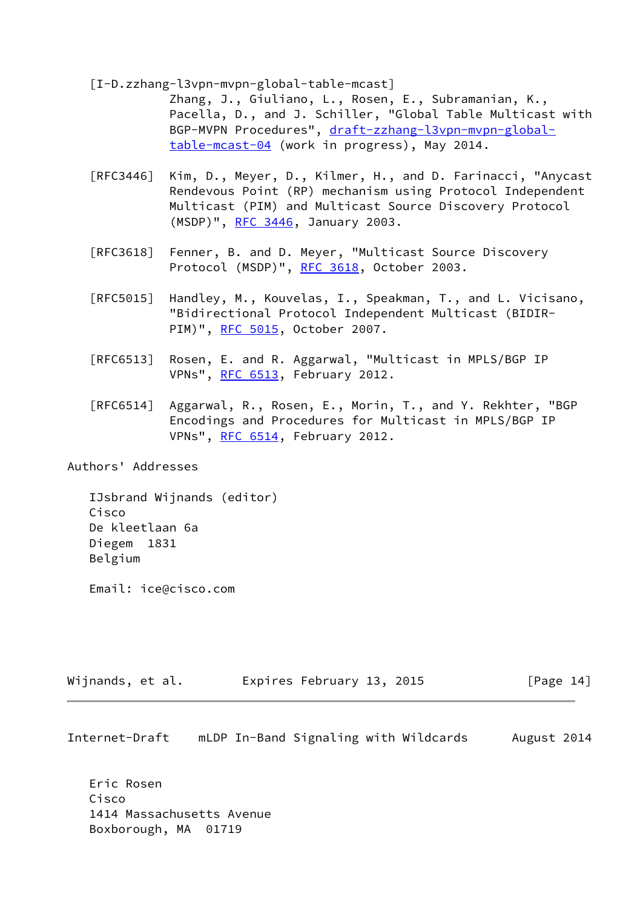<span id="page-15-0"></span>[I-D.zzhang-l3vpn-mvpn-global-table-mcast]

 Zhang, J., Giuliano, L., Rosen, E., Subramanian, K., Pacella, D., and J. Schiller, "Global Table Multicast with BGP-MVPN Procedures", [draft-zzhang-l3vpn-mvpn-global](https://datatracker.ietf.org/doc/pdf/draft-zzhang-l3vpn-mvpn-global-table-mcast-04) [table-mcast-04](https://datatracker.ietf.org/doc/pdf/draft-zzhang-l3vpn-mvpn-global-table-mcast-04) (work in progress), May 2014.

- [RFC3446] Kim, D., Meyer, D., Kilmer, H., and D. Farinacci, "Anycast Rendevous Point (RP) mechanism using Protocol Independent Multicast (PIM) and Multicast Source Discovery Protocol (MSDP)", [RFC 3446,](https://datatracker.ietf.org/doc/pdf/rfc3446) January 2003.
- [RFC3618] Fenner, B. and D. Meyer, "Multicast Source Discovery Protocol (MSDP)", [RFC 3618](https://datatracker.ietf.org/doc/pdf/rfc3618), October 2003.
- [RFC5015] Handley, M., Kouvelas, I., Speakman, T., and L. Vicisano, "Bidirectional Protocol Independent Multicast (BIDIR- PIM)", [RFC 5015](https://datatracker.ietf.org/doc/pdf/rfc5015), October 2007.
- [RFC6513] Rosen, E. and R. Aggarwal, "Multicast in MPLS/BGP IP VPNs", [RFC 6513](https://datatracker.ietf.org/doc/pdf/rfc6513), February 2012.
- [RFC6514] Aggarwal, R., Rosen, E., Morin, T., and Y. Rekhter, "BGP Encodings and Procedures for Multicast in MPLS/BGP IP VPNs", [RFC 6514](https://datatracker.ietf.org/doc/pdf/rfc6514), February 2012.

Authors' Addresses

 IJsbrand Wijnands (editor) Cisco De kleetlaan 6a Diegem 1831 Belgium

Email: ice@cisco.com

| Wijnands, et al. | Expires February 13, 2015 | [Page 14] |
|------------------|---------------------------|-----------|
|------------------|---------------------------|-----------|

Internet-Draft mLDP In-Band Signaling with Wildcards August 2014

 Eric Rosen Cisco 1414 Massachusetts Avenue Boxborough, MA 01719